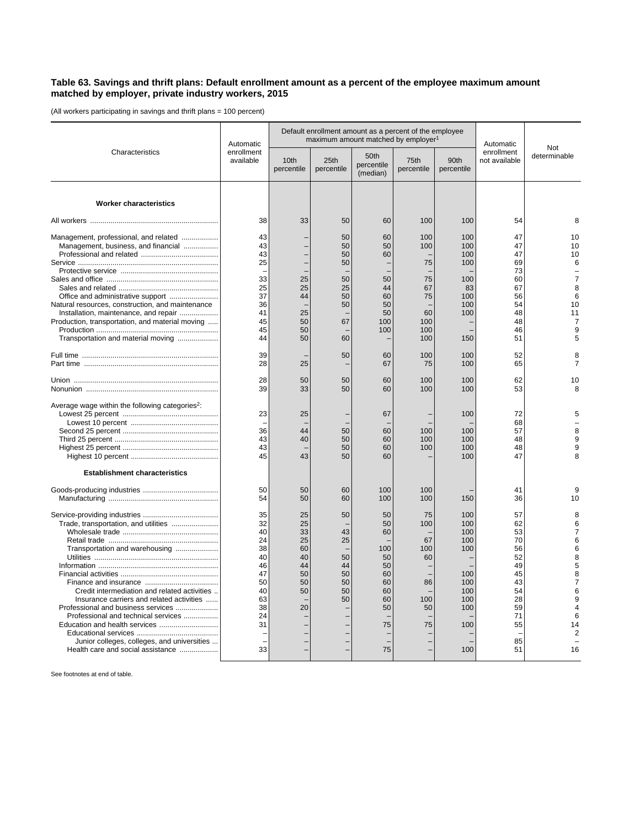## **Table 63. Savings and thrift plans: Default enrollment amount as a percent of the employee maximum amount matched by employer, private industry workers, 2015**

(All workers participating in savings and thrift plans = 100 percent)

| Characteristics                                                                          | Automatic<br>enrollment<br>available |                    | Default enrollment amount as a percent of the employee<br>maximum amount matched by employer <sup>1</sup> | Automatic                      |                    |                    |                             |                      |
|------------------------------------------------------------------------------------------|--------------------------------------|--------------------|-----------------------------------------------------------------------------------------------------------|--------------------------------|--------------------|--------------------|-----------------------------|----------------------|
|                                                                                          |                                      | 10th<br>percentile | 25th<br>percentile                                                                                        | 50th<br>percentile<br>(median) | 75th<br>percentile | 90th<br>percentile | enrollment<br>not available | Not<br>determinable  |
| <b>Worker characteristics</b>                                                            |                                      |                    |                                                                                                           |                                |                    |                    |                             |                      |
|                                                                                          | 38                                   | 33                 | 50                                                                                                        | 60                             | 100                | 100                | 54                          | 8                    |
| Management, professional, and related                                                    | 43                                   |                    | 50                                                                                                        | 60                             | 100                | 100                | 47                          | 10                   |
| Management, business, and financial                                                      | 43                                   |                    | 50                                                                                                        | 50                             | 100                | 100                | 47                          | 10                   |
|                                                                                          | 43                                   |                    | 50                                                                                                        | 60                             |                    | 100                | 47                          | 10                   |
|                                                                                          | 25                                   |                    | 50                                                                                                        |                                | 75                 | 100                | 69                          | 6                    |
|                                                                                          |                                      |                    |                                                                                                           |                                |                    |                    | 73                          |                      |
|                                                                                          | 33                                   | 25                 | 50                                                                                                        | 50                             | 75                 | 100                | 60                          | $\overline{7}$       |
|                                                                                          | 25                                   | 25                 | 25                                                                                                        | 44                             | 67                 | 83                 | 67                          | 8                    |
| Office and administrative support                                                        | 37                                   | 44                 | 50                                                                                                        | 60                             | 75                 | 100                | 56                          | 6                    |
| Natural resources, construction, and maintenance                                         | 36                                   |                    | 50                                                                                                        | 50                             |                    | 100                | 54                          | 10                   |
| Installation, maintenance, and repair<br>Production, transportation, and material moving | 41<br>45                             | 25<br>50           | 67                                                                                                        | 50<br>100                      | 60<br>100          | 100                | 48<br>48                    | 11<br>$\overline{7}$ |
|                                                                                          | 45                                   | 50                 |                                                                                                           | 100                            | 100                |                    | 46                          | 9                    |
| Transportation and material moving                                                       | 44                                   | 50                 | 60                                                                                                        |                                | 100                | 150                | 51                          | 5                    |
|                                                                                          |                                      |                    |                                                                                                           |                                |                    |                    |                             |                      |
|                                                                                          | 39                                   |                    | 50                                                                                                        | 60                             | 100                | 100                | 52                          | 8                    |
|                                                                                          | 28                                   | 25                 |                                                                                                           | 67                             | 75                 | 100                | 65                          | $\overline{7}$       |
|                                                                                          | 28<br>39                             | 50<br>33           | 50<br>50                                                                                                  | 60<br>60                       | 100<br>100         | 100<br>100         | 62<br>53                    | 10<br>8              |
|                                                                                          |                                      |                    |                                                                                                           |                                |                    |                    |                             |                      |
| Average wage within the following categories <sup>2</sup> :                              | 23                                   | 25                 |                                                                                                           | 67                             |                    | 100                | 72                          | 5                    |
|                                                                                          |                                      |                    |                                                                                                           |                                |                    |                    | 68                          |                      |
|                                                                                          | 36                                   | 44                 | 50                                                                                                        | 60                             | 100                | 100                | 57                          | 8                    |
|                                                                                          | 43                                   | 40                 | 50                                                                                                        | 60                             | 100                | 100                | 48                          | 9                    |
|                                                                                          | 43                                   |                    | 50                                                                                                        | 60                             | 100                | 100                | 48                          | 9                    |
|                                                                                          | 45                                   | 43                 | 50                                                                                                        | 60                             |                    | 100                | 47                          |                      |
| <b>Establishment characteristics</b>                                                     |                                      |                    |                                                                                                           |                                |                    |                    |                             |                      |
|                                                                                          | 50                                   | 50                 | 60                                                                                                        | 100                            | 100                |                    | 41                          | 9                    |
|                                                                                          | 54                                   | 50                 | 60                                                                                                        | 100                            | 100                | 150                | 36                          | 10                   |
|                                                                                          | 35                                   | 25                 | 50                                                                                                        | 50                             | 75                 | 100                | 57                          | 8                    |
| Trade, transportation, and utilities                                                     | 32                                   | 25                 |                                                                                                           | 50                             | 100                | 100                | 62                          | 6                    |
|                                                                                          | 40                                   | 33                 | 43                                                                                                        | 60                             |                    | 100                | 53                          | $\overline{7}$       |
|                                                                                          | 24                                   | 25                 | 25                                                                                                        |                                | 67                 | 100                | 70                          | 6                    |
| Transportation and warehousing                                                           | 38                                   | 60                 |                                                                                                           | 100                            | 100                | 100                | 56                          | 6                    |
|                                                                                          | 40                                   | 40                 | 50                                                                                                        | 50                             | 60                 |                    | 52                          | 8                    |
|                                                                                          | 46                                   | 44                 | 44                                                                                                        | 50                             |                    |                    | 49                          | 5                    |
|                                                                                          | 47                                   | 50                 | 50                                                                                                        | 60                             |                    | 100                | 45                          | 8                    |
|                                                                                          | 50                                   | 50                 | 50                                                                                                        | 60                             | 86                 | 100                | 43                          | $\overline{7}$       |
| Credit intermediation and related activities                                             | 40<br>63                             | 50                 | 50                                                                                                        | 60                             | 100                | 100                | 54                          | 6<br>9               |
| Insurance carriers and related activities<br>Professional and business services          | 38                                   | 20                 | 50                                                                                                        | 60<br>50                       | 50                 | 100<br>100         | 28<br>59                    | $\overline{4}$       |
| Professional and technical services                                                      | 24                                   |                    |                                                                                                           |                                |                    |                    | 71                          | 6                    |
| Education and health services                                                            | 31                                   |                    |                                                                                                           | 75                             | 75                 | 100                | 55                          | 14                   |
|                                                                                          |                                      |                    |                                                                                                           |                                |                    |                    |                             | $\overline{2}$       |
| Junior colleges, colleges, and universities                                              |                                      |                    |                                                                                                           |                                |                    |                    | 85                          |                      |
| Health care and social assistance                                                        | 33                                   |                    |                                                                                                           | 75                             |                    | 100                | 51                          | 16                   |
|                                                                                          |                                      |                    |                                                                                                           |                                |                    |                    |                             |                      |

See footnotes at end of table.